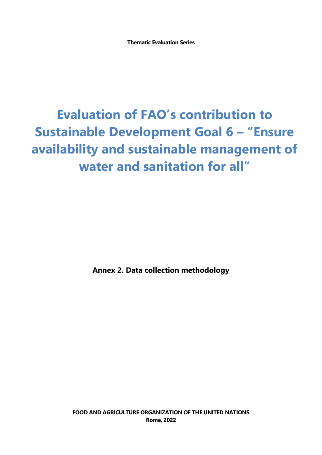**Thematic Evaluation Series**

# **Evaluation of FAO's contribution to Sustainable Development Goal 6 – "Ensure availability and sustainable management of water and sanitation for all"**

**Annex 2. Data collection methodology**

**FOOD AND AGRICULTURE ORGANIZATION OF THE UNITED NATIONS Rome, 2022**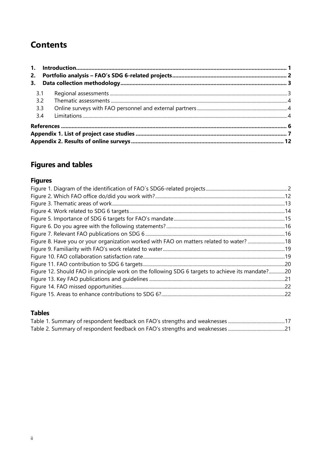# **Contents**

| 3.  |  |
|-----|--|
| 3.1 |  |
| 3.2 |  |
| 3.3 |  |
| 3.4 |  |
|     |  |
|     |  |
|     |  |

# **Figures and tables**

# **Figures**

| Figure 8. Have you or your organization worked with FAO on matters related to water? 18          |  |
|--------------------------------------------------------------------------------------------------|--|
|                                                                                                  |  |
|                                                                                                  |  |
|                                                                                                  |  |
| Figure 12. Should FAO in principle work on the following SDG 6 targets to achieve its mandate?20 |  |
|                                                                                                  |  |
|                                                                                                  |  |
|                                                                                                  |  |

# **Tables**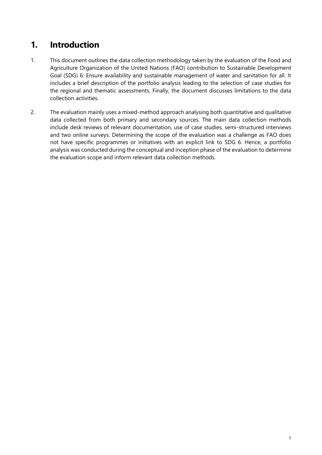# <span id="page-2-0"></span>**1. Introduction**

- 1. This document outlines the data collection methodology taken by the evaluation of the Food and Agriculture Organization of the United Nations (FAO) contribution to Sustainable Development Goal (SDG) 6: Ensure availability and sustainable management of water and sanitation for all. It includes a brief description of the portfolio analysis leading to the selection of case studies for the regional and thematic assessments. Finally, the document discusses limitations to the data collection activities.
- 2. The evaluation mainly uses a mixed-method approach analysing both quantitative and qualitative data collected from both primary and secondary sources. The main data collection methods include desk reviews of relevant documentation, use of case studies, semi-structured interviews and two online surveys. Determining the scope of the evaluation was a challenge as FAO does not have specific programmes or initiatives with an explicit link to SDG 6. Hence, a portfolio analysis was conducted during the conceptual and inception phase of the evaluation to determine the evaluation scope and inform relevant data collection methods.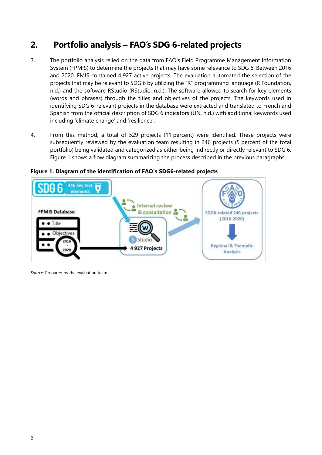# <span id="page-3-0"></span>**2. Portfolio analysis – FAO's SDG 6-related projects**

- 3. The portfolio analysis relied on the data from FAO's Field Programme Management Information System (FPMIS) to determine the projects that may have some relevance to SDG 6. Between 2016 and 2020, FMIS contained 4 927 active projects. The evaluation automated the selection of the projects that may be relevant to SDG 6 by utilizing the "R" programming language (R Foundation, n.d.) and the software RStudio (RStudio, n.d.). The software allowed to search for key elements (words and phrases) through the titles and objectives of the projects. The keywords used in identifying SDG 6-relevant projects in the database were extracted and translated to French and Spanish from the official description of SDG 6 indicators (UN, n.d.) with additional keywords used including 'climate change' and 'resilience'.
- 4. From this method, a total of 529 projects (11 percent) were identified. These projects were subsequently reviewed by the evaluation team resulting in 246 projects (5 percent of the total portfolio) being validated and categorized as either being indirectly or directly relevant to SDG 6. Figure 1 shows a flow diagram summarizing the process described in the previous paragraphs.

<span id="page-3-1"></span>

**Figure 1. Diagram of the identification of FAO´s SDG6-related projects**

*Source*: Prepared by the evaluation team.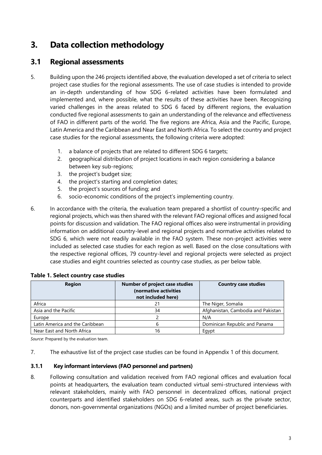# <span id="page-4-0"></span>**3. Data collection methodology**

# <span id="page-4-1"></span>**3.1 Regional assessments**

- 5. Building upon the 246 projects identified above, the evaluation developed a set of criteria to select project case studies for the regional assessments. The use of case studies is intended to provide an in-depth understanding of how SDG 6-related activities have been formulated and implemented and, where possible, what the results of these activities have been. Recognizing varied challenges in the areas related to SDG 6 faced by different regions, the evaluation conducted five regional assessments to gain an understanding of the relevance and effectiveness of FAO in different parts of the world. The five regions are Africa, Asia and the Pacific, Europe, Latin America and the Caribbean and Near East and North Africa. To select the country and project case studies for the regional assessments, the following criteria were adopted:
	- 1. a balance of projects that are related to different SDG 6 targets;
	- 2. geographical distribution of project locations in each region considering a balance between key sub-regions;
	- 3. the project's budget size;
	- 4. the project's starting and completion dates;
	- 5. the project's sources of funding; and
	- 6. socio-economic conditions of the project's implementing country.
- 6. In accordance with the criteria, the evaluation team prepared a shortlist of country-specific and regional projects, which was then shared with the relevant FAO regional offices and assigned focal points for discussion and validation. The FAO regional offices also were instrumental in providing information on additional country-level and regional projects and normative activities related to SDG 6, which were not readily available in the FAO system. These non-project activities were included as selected case studies for each region as well. Based on the close consultations with the respective regional offices, 79 country-level and regional projects were selected as project case studies and eight countries selected as country case studies, as per below table.

| <b>Region</b>                   | <b>Number of project case studies</b><br>(normative activities<br>not included here) | <b>Country case studies</b>        |
|---------------------------------|--------------------------------------------------------------------------------------|------------------------------------|
| Africa                          | 21                                                                                   | The Niger, Somalia                 |
| Asia and the Pacific            | 34                                                                                   | Afghanistan, Cambodia and Pakistan |
| Europe                          |                                                                                      | N/A                                |
| Latin America and the Caribbean | h                                                                                    | Dominican Republic and Panama      |
| Near East and North Africa      | 16                                                                                   | Egypt                              |

#### **Table 1. Select country case studies**

*Source*: Prepared by the evaluation team.

7. The exhaustive list of the project case studies can be found in Appendix 1 of this document.

#### **3.1.1 Key informant interviews (FAO personnel and partners)**

8. Following consultation and validation received from FAO regional offices and evaluation focal points at headquarters, the evaluation team conducted virtual semi-structured interviews with relevant stakeholders, mainly with FAO personnel in decentralized offices, national project counterparts and identified stakeholders on SDG 6-related areas, such as the private sector, donors, non-governmental organizations (NGOs) and a limited number of project beneficiaries.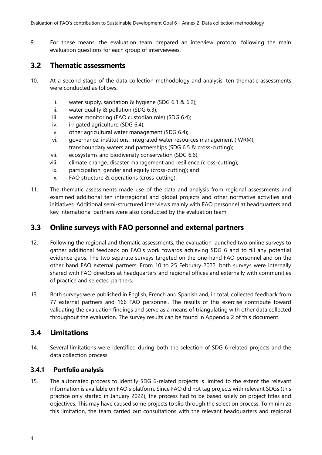9. For these means, the evaluation team prepared an interview protocol following the main evaluation questions for each group of interviewees.

# <span id="page-5-0"></span>**3.2 Thematic assessments**

- 10. At a second stage of the data collection methodology and analysis, ten thematic assessments were conducted as follows:
	- i. water supply, sanitation & hygiene (SDG 6.1 & 6.2);
	- ii. water quality & pollution (SDG 6.3);
	- iii. water monitoring (FAO custodian role) (SDG 6.4);
	- iv. irrigated agriculture (SDG 6.4);
	- v. other agricultural water management (SDG 6.4);
	- vi. governance: institutions, integrated water resources management (IWRM), transboundary waters and partnerships (SDG 6.5 & cross-cutting);
	- vii. ecosystems and biodiversity conservation (SDG 6.6);
	- viii. climate change, disaster management and resilience (cross-cutting);
	- ix. participation, gender and equity (cross-cutting); and
	- x. FAO structure & operations (cross-cutting).
- 11. The thematic assessments made use of the data and analysis from regional assessments and examined additional ten interregional and global projects and other normative activities and initiatives. Additional semi-structured interviews mainly with FAO personnel at headquarters and key international partners were also conducted by the evaluation team.

## <span id="page-5-1"></span>**3.3 Online surveys with FAO personnel and external partners**

- 12. Following the regional and thematic assessments, the evaluation launched two online surveys to gather additional feedback on FAO's work towards achieving SDG 6 and to fill any potential evidence gaps. The two separate surveys targeted on the one-hand FAO personnel and on the other hand FAO external partners. From 10 to 25 February 2022, both surveys were internally shared with FAO directors at headquarters and regional offices and externally with communities of practice and selected partners.
- 13. Both surveys were published in English, French and Spanish and, in total, collected feedback from 77 external partners and 166 FAO personnel. The results of this exercise contribute toward validating the evaluation findings and serve as a means of triangulating with other data collected throughout the evaluation. The survey results can be found in Appendix 2 of this document.

## <span id="page-5-2"></span>**3.4 Limitations**

14. Several limitations were identified during both the selection of SDG 6-related projects and the data collection process:

### **3.4.1 Portfolio analysis**

15. The automated process to identify SDG 6-related projects is limited to the extent the relevant information is available on FAO's platform. Since FAO did not tag projects with relevant SDGs (this practice only started in January 2022), the process had to be based solely on project titles and objectives. This may have caused some projects to slip through the selection process. To minimize this limitation, the team carried out consultations with the relevant headquarters and regional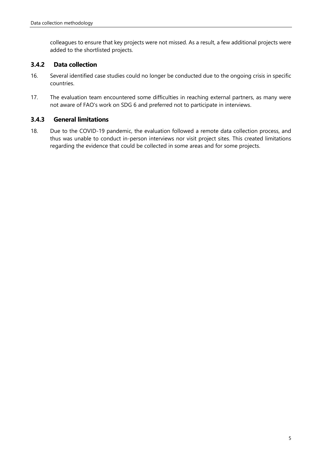colleagues to ensure that key projects were not missed. As a result, a few additional projects were added to the shortlisted projects.

### **3.4.2 Data collection**

- 16. Several identified case studies could no longer be conducted due to the ongoing crisis in specific countries.
- 17. The evaluation team encountered some difficulties in reaching external partners, as many were not aware of FAO's work on SDG 6 and preferred not to participate in interviews.

### **3.4.3 General limitations**

18. Due to the COVID-19 pandemic, the evaluation followed a remote data collection process, and thus was unable to conduct in-person interviews nor visit project sites. This created limitations regarding the evidence that could be collected in some areas and for some projects.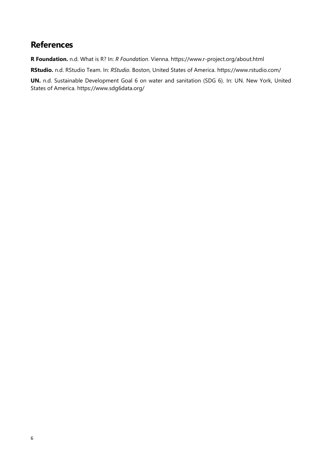# <span id="page-7-0"></span>**References**

**R Foundation.** n.d. What is R? In: *R Foundation*. Vienna. https://www.r-project.org/about.html

**RStudio.** n.d. RStudio Team. In: *RStudio*. Boston, United States of America. https://www.rstudio.com/

**UN.** n.d. Sustainable Development Goal 6 on water and sanitation (SDG 6). In: UN. New York, United States of America. https://www.sdg6data.org/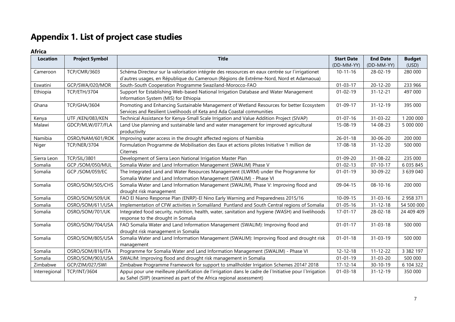# **Appendix 1. List of project case studies**

### **Africa**

<span id="page-8-0"></span>

| <b>Location</b> | <b>Project Symbol</b> | <b>Title</b>                                                                                           | <b>Start Date</b> | <b>End Date</b> | <b>Budget</b> |
|-----------------|-----------------------|--------------------------------------------------------------------------------------------------------|-------------------|-----------------|---------------|
|                 |                       |                                                                                                        | (DD-MM-YY)        | (DD-MM-YY)      | (USD)         |
| Cameroon        | <b>TCP/CMR/3603</b>   | Schéma Directeur sur la valorisation intégrée des ressources en eaux centrée sur l'irrigationet        | $10 - 11 - 16$    | $28 - 02 - 19$  | 280 000       |
|                 |                       | d'autres usages, en République du Cameroun (Régions de Extrême-Nord, Nord et Adamaoua)                 |                   |                 |               |
| Eswatini        | GCP/SWA/020/MOR       | South-South Cooperation Programme Swaziland-Morocco-FAO                                                | $01 - 03 - 17$    | $20 - 12 - 20$  | 233 966       |
| Ethiopia        | <b>TCP/ETH/3704</b>   | Support for Establishing Web-based National Irrigation Database and Water Management                   | $01 - 02 - 19$    | $31 - 12 - 21$  | 497 000       |
|                 |                       | Information System (MIS) for Ethiopia                                                                  |                   |                 |               |
| Ghana           | TCP/GHA/3604          | Promoting and Enhancing Sustainable Management of Wetland Resources for better Ecosystem               | $01 - 09 - 17$    | $31 - 12 - 19$  | 395 000       |
|                 |                       | Services and Resilient Livelihoods of Keta and Ada Coastal communities                                 |                   |                 |               |
| Kenya           | UTF /KEN/083/KEN      | Technical Assistance for Kenya-Small Scale Irrigation and Value Addition Project (SIVAP)               | $01 - 07 - 16$    | 31-03-22        | 1 200 000     |
| Malawi          | GDCP/MLW/077/FLA      | Land Use planning and sustainable land and water management for improved agricultural                  | $15 - 08 - 19$    | 14-08-23        | 5 000 000     |
|                 |                       | productivity                                                                                           |                   |                 |               |
| Namibia         | OSRO/NAM/601/ROK      | Improving water access in the drought affected regions of Namibia                                      | $26 - 01 - 18$    | 30-06-20        | 200 000       |
| Niger           | <b>TCP/NER/3704</b>   | Formulation Programme de Mobilisation des Eaux et actions pilotes Initiative 1 million de              | $17 - 08 - 18$    | $31 - 12 - 20$  | 500 000       |
|                 |                       | Citernes                                                                                               |                   |                 |               |
| Sierra Leon     | <b>TCP/SIL/3801</b>   | Development of Sierra Leon National Irrigation Master Plan                                             | $01 - 09 - 20$    | 31-08-22        | 235 000       |
| Somalia         | GCP /SOM/050/MUL      | Somalia Water and Land Information Management (SWALIM) Phase V                                         | $01 - 02 - 13$    | $07 - 10 - 17$  | 6 035 845     |
| Somalia         | GCP /SOM/059/EC       | The Integrated Land and Water Resources Management (ILWRM) under the Programme for                     | $01 - 01 - 19$    | 30-09-22        | 3 639 040     |
|                 |                       | Somalia Water and Land Information Management (SWALIM) - Phase VI                                      |                   |                 |               |
| Somalia         | OSRO/SOM/505/CHS      | Somalia Water and Land Information Management (SWALIM), Phase V: Improving flood and                   | 09-04-15          | $08 - 10 - 16$  | 200 000       |
|                 |                       | drought risk management                                                                                |                   |                 |               |
| Somalia         | OSRO/SOM/509/UK       | FAO El Niano Response Plan (ENRP)-El Nino Early Warning and Preparedness 2015/16                       | $10-09-15$        | $31 - 03 - 16$  | 2 958 371     |
| Somalia         | OSRO/SOM/611/USA      | Implementation of CFW activities in Somaliland Puntland and South Central regions of Somalia           | $01 - 05 - 16$    | $31 - 12 - 18$  | 54 500 000    |
| Somalia         | OSRO/SOM/701/UK       | Integrated food security, nutrition, health, water, sanitation and hygiene (WASH) and livelihoods      | $17 - 01 - 17$    | $28 - 02 - 18$  | 24 409 409    |
|                 |                       | response to the drought in Somalia                                                                     |                   |                 |               |
| Somalia         | OSRO/SOM/704/USA      | FAO Somalia Water and Land Information Management (SWALIM): Improving flood and                        | $01 - 01 - 17$    | $31 - 03 - 18$  | 500 000       |
|                 |                       | drought risk management in Somalia                                                                     |                   |                 |               |
| Somalia         | OSRO/SOM/805/USA      | Somalia Water and Land Information Management (SWALIM): Improving flood and drought risk               | $01 - 01 - 18$    | 31-03-19        | 500 000       |
|                 |                       | management                                                                                             |                   |                 |               |
| Somalia         | OSRO/SOM/816/ITA      | Programme for Somalia Water and Land Information Management (SWALIM) - Phase VI                        | $12 - 12 - 18$    | $11 - 12 - 22$  | 3 3 8 2 1 9 7 |
| Somalia         | OSRO/SOM/903/USA      | SWALIM: Improving flood and drought risk management in Somalia                                         | $01 - 01 - 19$    | 31-03-20        | 500 000       |
| Zimbabwe        | GCP/ZIM/027/SWI       | Zimbabwe Programme Framework for support to smallholder Irrigation Schemes 2014? 2018                  | $17 - 12 - 14$    | $30 - 10 - 19$  | 6 104 322     |
| Interregional   | <b>TCP/INT/3604</b>   | Appui pour une meilleure planification de l'irrigation dans le cadre de l'Initiative pour l'Irrigation | $01 - 03 - 18$    | $31 - 12 - 19$  | 350 000       |
|                 |                       | au Sahel (SIIP) (examined as part of the Africa regional assessment)                                   |                   |                 |               |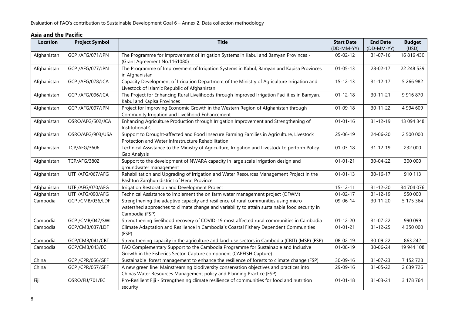### **Asia and the Pacific**

| <b>Location</b> | <b>Project Symbol</b> | <b>Title</b>                                                                                                                                                                                           | <b>Start Date</b> | <b>End Date</b> | <b>Budget</b> |
|-----------------|-----------------------|--------------------------------------------------------------------------------------------------------------------------------------------------------------------------------------------------------|-------------------|-----------------|---------------|
|                 |                       |                                                                                                                                                                                                        | (DD-MM-YY)        | (DD-MM-YY)      | (USD)         |
| Afghanistan     | GCP /AFG/071/JPN      | The Programme for Improvement of Irrigation Systems in Kabul and Bamyan Provinces -<br>(Grant Agreement No.1161080)                                                                                    | $05 - 02 - 12$    | $31 - 07 - 16$  | 16 816 430    |
| Afghanistan     | GCP /AFG/077/JPN      | The Programme of Improvement of Irrigation Systems in Kabul, Bamyan and Kapisa Provinces<br>in Afghanistan                                                                                             | $01 - 05 - 13$    | 28-02-17        | 22 248 539    |
| Afghanistan     | GCP / AFG/078/JCA     | Capacity Development of Irrigation Department of the Ministry of Agriculture Irrigation and<br>Livestock of Islamic Republic of Afghanistan                                                            | $15 - 12 - 13$    | $31 - 12 - 17$  | 5 266 982     |
| Afghanistan     | GCP / AFG/096/JCA     | The Project for Enhancing Rural Livelihoods through Improved Irrigation Facilities in Bamyan,<br>Kabul and Kapisa Provinces                                                                            | $01 - 12 - 18$    | $30 - 11 - 21$  | 9 9 1 6 8 7 0 |
| Afghanistan     | GCP /AFG/097/JPN      | Project for Improving Economic Growth in the Western Region of Afghanistan through<br>Community Irrigation and Livelihood Enhancement                                                                  | $01 - 09 - 18$    | $30 - 11 - 22$  | 4 994 609     |
| Afghanistan     | OSRO/AFG/502/JCA      | Enhancing Agriculture Production through Irrigation Improvement and Strengthening of<br>Institutional C                                                                                                | $01 - 01 - 16$    | $31 - 12 - 19$  | 13 094 348    |
| Afghanistan     | OSRO/AFG/903/USA      | Support to Drought-affected and Food Insecure Farming Families in Agriculture, Livestock<br>Protection and Water Infrastructure Rehabilitation                                                         | 25-06-19          | $24 - 06 - 20$  | 2 500 000     |
| Afghanistan     | <b>TCP/AFG/3606</b>   | Technical Assistance to the Ministry of Agriculture, Irrigation and Livestock to perform Policy<br>Gap Analysis                                                                                        | $01 - 03 - 18$    | $31 - 12 - 19$  | 232 000       |
| Afghanistan     | <b>TCP/AFG/3802</b>   | Support to the development of NWARA capacity in large scale irrigation design and<br>groundwater management                                                                                            | $01 - 01 - 21$    | 30-04-22        | 300 000       |
| Afghanistan     | UTF /AFG/067/AFG      | Rehabilitation and Upgrading of Irrigation and Water Resources Management Project in the<br>Pashtun Zarghun district of Herat Province                                                                 | $01 - 01 - 13$    | $30 - 16 - 17$  | 910 113       |
| Afghanistan     | UTF /AFG/070/AFG      | Irrigation Restoration and Development Project                                                                                                                                                         | $15 - 12 - 11$    | $31 - 12 - 20$  | 34 704 076    |
| Afghanistan     | UTF /AFG/090/AFG      | Technical Assistance to implement the on farm water management project (OFWM)                                                                                                                          | $01 - 02 - 17$    | $31 - 12 - 19$  | 550 000       |
| Cambodia        | GCP / CMB/036/LDF     | Strengthening the adaptive capacity and resilience of rural communities using micro<br>watershed approaches to climate change and variability to attain sustainable food security in<br>Cambodia (FSP) | 09-06-14          | $30 - 11 - 20$  | 5 175 364     |
| Cambodia        | GCP / CMB/047/SWI     | Strengthening livelihood recovery of COVID-19 most affected rural communities in Cambodia                                                                                                              | $01 - 12 - 20$    | 31-07-22        | 990 099       |
| Cambodia        | GCP/CMB/037/LDF       | Climate Adaptation and Resilience in Cambodia's Coastal Fishery Dependent Communities<br>(FSP)                                                                                                         | $01 - 01 - 21$    | $31 - 12 - 25$  | 4 350 000     |
| Cambodia        | GCP/CMB/041/CBT       | Strengthening capacity in the agriculture and land-use sectors in Cambodia (CBIT) (MSP) (FSP)                                                                                                          | 08-02-19          | 30-09-22        | 863 242       |
| Cambodia        | GCP/CMB/043/EC        | FAO Complementary Support to the Cambodia Programme for Sustainable and Inclusive<br>Growth in the Fisheries Sector: Capture component (CAPFISH Capture)                                               | $01 - 08 - 19$    | 30-06-24        | 19 944 108    |
| China           | GCP /CPR/056/GFF      | Sustainable forest management to enhance the resilience of forests to climate change (FSP)                                                                                                             | 30-09-16          | 31-07-23        | 7 152 728     |
| China           | GCP /CPR/057/GFF      | A new green line: Mainstreaming biodiversity conservation objectives and practices into<br>Chinas Water Resources Management policy and Planning Practice (FSP)                                        | 29-09-16          | 31-05-22        | 2 639 726     |
| Fiji            | OSRO/FIJ/701/EC       | Pro-Resilient Fiji - Strengthening climate resilience of communities for food and nutrition<br>security                                                                                                | $01 - 01 - 18$    | $31 - 03 - 21$  | 3 178 764     |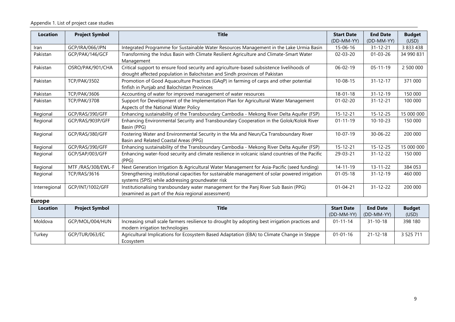| <b>Location</b> | <b>Project Symbol</b> | <b>Title</b>                                                                                     | <b>Start Date</b> | <b>End Date</b> | <b>Budget</b> |
|-----------------|-----------------------|--------------------------------------------------------------------------------------------------|-------------------|-----------------|---------------|
|                 |                       |                                                                                                  | (DD-MM-YY)        | (DD-MM-YY)      | (USD)         |
| Iran            | GCP/IRA/066/JPN       | Integrated Programme for Sustainable Water Resources Management in the Lake Urmia Basin          | $15 - 06 - 16$    | $31 - 12 - 21$  | 3 833 438     |
| Pakistan        | GCP/PAK/146/GCF       | Transforming the Indus Basin with Climate Resilient Agriculture and Climate-Smart Water          | $02 - 03 - 20$    | $01 - 03 - 26$  | 34 990 831    |
|                 |                       | Management                                                                                       |                   |                 |               |
| Pakistan        | OSRO/PAK/901/CHA      | Critical support to ensure food security and agriculture-based subsistence livelihoods of        | $06 - 02 - 19$    | $05 - 11 - 19$  | 2 500 000     |
|                 |                       | drought affected population in Balochistan and Sindh provinces of Pakistan                       |                   |                 |               |
| Pakistan        | <b>TCP/PAK/3502</b>   | Promotion of Good Aquaculture Practices (GAqP) in farming of carps and other potential           | $10 - 08 - 15$    | $31 - 12 - 17$  | 371 000       |
|                 |                       | finfish in Punjab and Balochistan Provinces                                                      |                   |                 |               |
| Pakistan        | <b>TCP/PAK/3606</b>   | Accounting of water for improved management of water resources                                   | $18 - 01 - 18$    | $31 - 12 - 19$  | 150 000       |
| Pakistan        | <b>TCP/PAK/3708</b>   | Support for Development of the Implementation Plan for Agricultural Water Management             | $01 - 02 - 20$    | $31 - 12 - 21$  | 100 000       |
|                 |                       | Aspects of the National Water Policy                                                             |                   |                 |               |
| Regional        | GCP/RAS/390/GFF       | Enhancing sustainability of the Transboundary Cambodia - Mekong River Delta Aquifer (FSP)        | $15 - 12 - 21$    | $15 - 12 - 25$  | 15 000 000    |
| Regional        | GCP/RAS/903P/GFF      | Enhancing Environmental Security and Transboundary Cooperation in the Golok/Kolok River          | $01 - 11 - 19$    | $10-10-23$      | 150 000       |
|                 |                       | Basin (PPG)                                                                                      |                   |                 |               |
| Regional        | GCP/RAS/380/GFF       | Fostering Water and Environmental Security in the Ma and Neun/Ca Transboundary River             | $10 - 07 - 19$    | $30 - 06 - 22$  | 200 000       |
|                 |                       | Basin and Related Coastal Areas (PPG)                                                            |                   |                 |               |
| Regional        | GCP/RAS/390/GFF       | Enhancing sustainability of the Transboundary Cambodia - Mekong River Delta Aquifer (FSP)        | $15 - 12 - 21$    | $15 - 12 - 25$  | 15 000 000    |
| Regional        | GCP/SAP/003/GFF       | Enhancing water-food security and climate resilience in volcanic island countries of the Pacific | 29-03-21          | $31 - 12 - 22$  | 150 000       |
|                 |                       | (PPG)                                                                                            |                   |                 |               |
| Regional        | MTF /RAS/308/EWL-F    | Next Generation Irrigation & Agricultural Water Management for Asia-Pacific (seed funding)       | $14 - 11 - 19$    | $13 - 11 - 22$  | 384 053       |
| Regional        | <b>TCP/RAS/3616</b>   | Strengthening institutional capacities for sustainable management of solar powered irrigation    | $01 - 05 - 18$    | $31 - 12 - 19$  | 460 000       |
|                 |                       | systems (SPIS) while addressing groundwater risk                                                 |                   |                 |               |
| Interregional   | GCP/INT/1002/GFF      | Institutionalising transboundary water management for the Panj River Sub Basin (PPG)             | $01 - 04 - 21$    | $31 - 12 - 22$  | 200 000       |
|                 |                       | (examined as part of the Asia regional assessment)                                               |                   |                 |               |

#### **Europe**

| <b>Location</b> | <b>Project Symbol</b> | <b>Title</b>                                                                                                                     | <b>Start Date</b> | <b>End Date</b> | <b>Budget</b> |
|-----------------|-----------------------|----------------------------------------------------------------------------------------------------------------------------------|-------------------|-----------------|---------------|
|                 |                       |                                                                                                                                  | (DD-MM-YY)        | (DD-MM-YY)      | (USD)         |
| Moldova         | GCP/MOL/004/HUN       | Increasing small scale farmers resilience to drought by adopting best irrigation practices and<br>modern irrigation technologies | $01 - 11 - 14$    | $31 - 10 - 18$  | 398 180       |
| Turkev          | GCP/TUR/063/EC        | Agricultural Implications for Ecosystem Based Adaptation (EBA) to Climate Change in Steppe<br>Ecosystem                          | $01 - 01 - 16$    | $21 - 12 - 18$  | 3 5 2 5 7 1 1 |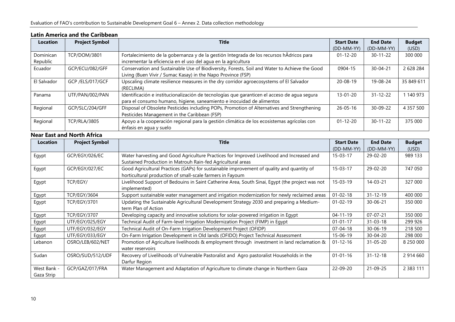| <b>Location</b>       | <b>Project Symbol</b> | Title                                                                                                                                                                 | <b>Start Date</b> | <b>End Date</b> | <b>Budget</b> |
|-----------------------|-----------------------|-----------------------------------------------------------------------------------------------------------------------------------------------------------------------|-------------------|-----------------|---------------|
|                       |                       |                                                                                                                                                                       | (DD-MM-YY)        | (DD-MM-YY)      | (USD)         |
| Dominican<br>Republic | <b>TCP/DOM/3801</b>   | Fortalecimiento de la gobernanza y de la gestión Integrada de los recursos hÂdricos para<br>incrementar la eficiencia en el uso del agua en la agricultura            | $01 - 12 - 20$    | $30 - 11 - 22$  | 300 000       |
| Ecuador               | GCP/ECU/082/GFF       | Conservation and Sustainable Use of Biodiversity, Forests, Soil and Water to Achieve the Good<br>Living (Buen Vivir / Sumac Kasay) in the Napo Province (FSP)         | 0904-15           | $30 - 04 - 21$  | 2 628 284     |
| El Salvador           | GCP /ELS/017/GCF      | Upscaling climate resilience measures in the dry corridor agroecosystems of El Salvador<br>(RECLIMA)                                                                  | $20 - 08 - 19$    | 19-08-24        | 35 849 611    |
| Panama                | UTF/PAN/002/PAN       | Identificación e institucionalización de tecnologías que garanticen el acceso de agua segura<br>para el consumo humano, higiene, saneamiento e inocuidad de alimentos | $13 - 01 - 20$    | $31 - 12 - 22$  | 140 973       |
| Regional              | GCP/SLC/204/GFF       | Disposal of Obsolete Pesticides including POPs, Promotion of Alternatives and Strengthening<br>Pesticides Management in the Caribbean (FSP)                           | $26 - 05 - 16$    | $30 - 09 - 22$  | 4 3 5 7 5 0 0 |
| Regional              | <b>TCP/RLA/3805</b>   | Apoyo a la cooperación regional para la gestión climática de los ecosistemas agrícolas con<br>énfasis en agua y suelo                                                 | $01 - 12 - 20$    | $30 - 11 - 22$  | 375 000       |

#### **Latin America and the Caribbean**

### **Near East and North Africa**

| <b>Location</b>           | <b>Project Symbol</b> | <b>Title</b>                                                                                                                                             | <b>Start Date</b><br>(DD-MM-YY) | <b>End Date</b><br>(DD-MM-YY) | <b>Budget</b><br>(USD) |
|---------------------------|-----------------------|----------------------------------------------------------------------------------------------------------------------------------------------------------|---------------------------------|-------------------------------|------------------------|
| Egypt                     | GCP/EGY/026/EC        | Water harvesting and Good Agriculture Practices for Improved Livelihood and Increased and<br>Sustained Production in Matrouh Rain-fed Agricultural areas | $15 - 03 - 17$                  | 29-02-20                      | 989 133                |
| Egypt                     | GCP/EGY/027/EC        | Good Agricultural Practices (GAPs) for sustainable improvement of quality and quantity of<br>horticultural production of small-scale farmers in Fayoum   | $15 - 03 - 17$                  | 29-02-20                      | 747 050                |
| Egypt                     | TCP/EGY/              | Livelihood Support of Bedouins in Saint Catherine Area, South Sinai, Egypt (the project was not<br>implemented)                                          | $15 - 03 - 19$                  | $14 - 03 - 21$                | 327 000                |
| Egypt                     | <b>TCP/EGY/3604</b>   | Support sustainable water management and irrigation modernization for newly reclaimed areas                                                              | $01 - 02 - 18$                  | $31 - 12 - 19$                | 400 000                |
| Egypt                     | <b>TCP/EGY/3701</b>   | Updating the Sustainable Agricultural Development Strategy 2030 and preparing a Medium-<br>term Plan of Action                                           | $01 - 02 - 19$                  | $30 - 06 - 21$                | 350 000                |
| Egypt                     | <b>TCP/EGY/3707</b>   | Developing capacity and innovative solutions for solar-powered irrigation in Egypt                                                                       | $04 - 11 - 19$                  | $07 - 07 - 21$                | 350 000                |
| Egypt                     | UTF/EGY/025/EGY       | Technical Audit of Farm-level Irrigation Modernization Project (FIMP) in Egypt                                                                           | $01 - 01 - 17$                  | $31 - 03 - 18$                | 299 926                |
| Egypt                     | UTF/EGY/032/EGY       | Technical Audit of On-Farm Irrigation Development Project (OFIDP)                                                                                        | 07-04-18                        | $30 - 06 - 19$                | 218 500                |
| Egypt                     | UTF/EGY/033/EGY       | On-Farm Irrigation Development in Old lands (OFIDO) Project Technical Assessment                                                                         | $15 - 06 - 19$                  | $30 - 04 - 20$                | 298 000                |
| Lebanon                   | OSRO/LEB/602/NET      | Promotion of Agriculture livelihoods & employment through investment in land reclamation &<br>water reservoirs                                           | $01 - 12 - 16$                  | $31 - 05 - 20$                | 8 250 000              |
| Sudan                     | OSRO/SUD/512/UDF      | Recovery of Livelihoods of Vulnerable Pastoralist and Agro pastoralist Households in the<br>Darfur Region                                                | $01 - 01 - 16$                  | $31 - 12 - 18$                | 2 914 660              |
| West Bank -<br>Gaza Strip | GCP/GAZ/017/FRA       | Water Management and Adaptation of Agriculture to climate change in Northern Gaza                                                                        | 22-09-20                        | 21-09-25                      | 2 3 8 3 1 1 1          |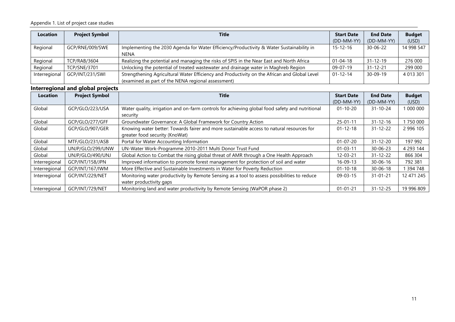#### Appendix 1. List of project case studies

| Location      | <b>Project Symbol</b> | <b>Title</b>                                                                                     | <b>Start Date</b> | <b>End Date</b> | <b>Budget</b> |
|---------------|-----------------------|--------------------------------------------------------------------------------------------------|-------------------|-----------------|---------------|
|               |                       |                                                                                                  | (DD-MM-YY)        | (DD-MM-YY)      | (USD)         |
| Regional      | GCP/RNE/009/SWE       | Implementing the 2030 Agenda for Water Efficiency/Productivity & Water Sustainability in<br>NENA | $15 - 12 - 16$    | 30-06-22        | 14 998 547    |
| Regional      | TCP/RAB/3604          | Realizing the potential and managing the risks of SPIS in the Near East and North Africa         | $01 - 04 - 18$    | $31 - 12 - 19$  | 276 000       |
| Regional      | <b>TCP/SNE/3701</b>   | Unlocking the potential of treated wastewater and drainage water in Maghreb Region               | 09-07-19          | $31 - 12 - 21$  | 299 000       |
| Interregional | GCP/INT/231/SWI       | Strengthening Agricultural Water Efficiency and Productivity on the African and Global Level     | $01 - 12 - 14$    | $30 - 09 - 19$  | 4 013 301     |
|               |                       | (examined as part of the NENA regional assessment)                                               |                   |                 |               |

### **Interregional and global projects**

| <b>Location</b> | <b>Project Symbol</b> | <b>Title</b>                                                                                    | <b>Start Date</b> | <b>End Date</b> | <b>Budget</b> |
|-----------------|-----------------------|-------------------------------------------------------------------------------------------------|-------------------|-----------------|---------------|
|                 |                       |                                                                                                 | (DD-MM-YY)        | (DD-MM-YY)      | (USD)         |
| Global          | GCP/GLO/223/USA       | Water quality, irrigation and on-farm controls for achieving global food safety and nutritional | $01 - 10 - 20$    | $31 - 10 - 24$  | 1000000       |
|                 |                       | security                                                                                        |                   |                 |               |
| Global          | GCP/GLO/277/GFF       | Groundwater Governance: A Global Framework for Country Action                                   | $25 - 01 - 11$    | $31 - 12 - 16$  | 750 000       |
| Global          | GCP/GLO/907/GER       | Knowing water better: Towards fairer and more sustainable access to natural resources for       | $01 - 12 - 18$    | $31 - 12 - 22$  | 2 996 105     |
|                 |                       | greater food security (KnoWat)                                                                  |                   |                 |               |
| Global          | MTF/GLO/231/ASB       | Portal for Water Accounting Information                                                         | $01 - 07 - 20$    | $31 - 12 - 20$  | 197 992       |
| Global          | UNJP/GLO/299/UNW      | UN-Water Work-Programme 2010-2011 Multi Donor Trust Fund                                        | $01 - 03 - 11$    | $30 - 06 - 23$  | 4 293 144     |
| Global          | UNJP/GLO/490/UNJ      | Global Action to Combat the rising global threat of AMR through a One Health Approach           | $12 - 03 - 21$    | $31 - 12 - 22$  | 866 304       |
| Interregional   | GCP/INT/158/JPN       | Improved information to promote forest management for protection of soil and water              | $16 - 09 - 13$    | $30 - 06 - 16$  | 792 381       |
| Interregional   | GCP/INT/167/IWM       | More Effective and Sustainable Investments in Water for Poverty Reduction                       | $01 - 10 - 18$    | $30 - 06 - 18$  | 394 748       |
| Interregional   | GCP/INT/229/NET       | Monitoring water productivity by Remote Sensing as a tool to assess possibilities to reduce     | $09 - 03 - 15$    | $31 - 01 - 21$  | 12 471 245    |
|                 |                       | water productivity gaps                                                                         |                   |                 |               |
| Interregional   | GCP/INT/729/NET       | Monitoring land and water productivity by Remote Sensing (WaPOR phase 2)                        | $01 - 01 - 21$    | $31 - 12 - 25$  | 19 996 809    |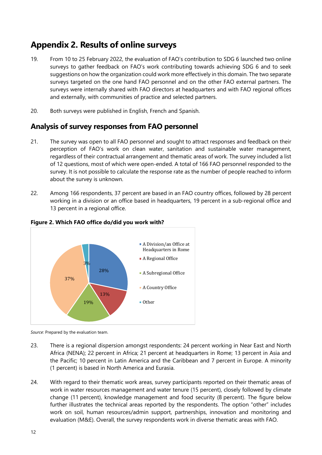# <span id="page-13-0"></span>**Appendix 2. Results of online surveys**

- 19. From 10 to 25 February 2022, the evaluation of FAO's contribution to SDG 6 launched two online surveys to gather feedback on FAO's work contributing towards achieving SDG 6 and to seek suggestions on how the organization could work more effectively in this domain. The two separate surveys targeted on the one hand FAO personnel and on the other FAO external partners. The surveys were internally shared with FAO directors at headquarters and with FAO regional offices and externally, with communities of practice and selected partners.
- 20. Both surveys were published in English, French and Spanish.

# **Analysis of survey responses from FAO personnel**

- 21. The survey was open to all FAO personnel and sought to attract responses and feedback on their perception of FAO's work on clean water, sanitation and sustainable water management, regardless of their contractual arrangement and thematic areas of work. The survey included a list of 12 questions, most of which were open-ended. A total of 166 FAO personnel responded to the survey. It is not possible to calculate the response rate as the number of people reached to inform about the survey is unknown.
- 22. Among 166 respondents, 37 percent are based in an FAO country offices, followed by 28 percent working in a division or an office based in headquarters, 19 percent in a sub-regional office and 13 percent in a regional office.



#### <span id="page-13-1"></span>**Figure 2. Which FAO office do/did you work with?**

*Source*: Prepared by the evaluation team.

- 23. There is a regional dispersion amongst respondents: 24 percent working in Near East and North Africa (NENA); 22 percent in Africa; 21 percent at headquarters in Rome; 13 percent in Asia and the Pacific; 10 percent in Latin America and the Caribbean and 7 percent in Europe. A minority (1 percent) is based in North America and Eurasia.
- 24. With regard to their thematic work areas, survey participants reported on their thematic areas of work in water resources management and water tenure (15 percent), closely followed by climate change (11 percent), knowledge management and food security (8 percent). The figure below further illustrates the technical areas reported by the respondents. The option "other" includes work on soil, human resources/admin support, partnerships, innovation and monitoring and evaluation (M&E). Overall, the survey respondents work in diverse thematic areas with FAO.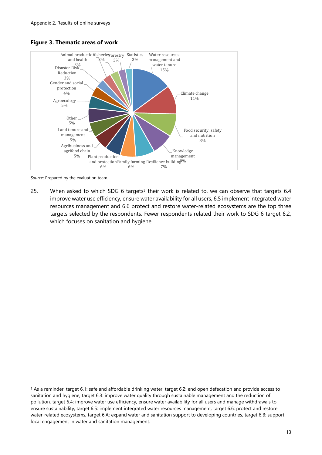

#### <span id="page-14-0"></span>**Figure 3. Thematic areas of work**

*Source*: Prepared by the evaluation team.

25. When asked to which SDG 6 targets<sup>1</sup> their work is related to, we can observe that targets  $6.4$ improve water use efficiency, ensure water availability for all users, 6.5 implement integrated water resources management and 6.6 protect and restore water-related ecosystems are the top three targets selected by the respondents. Fewer respondents related their work to SDG 6 target 6.2, which focuses on sanitation and hygiene.

<sup>1</sup> As a reminder: target 6.1: safe and affordable drinking water, target 6.2: end open defecation and provide access to sanitation and hygiene, target 6.3: improve water quality through sustainable management and the reduction of pollution, target 6.4: improve water use efficiency, ensure water availability for all users and manage withdrawals to ensure sustainability, target 6.5: implement integrated water resources management, target 6.6: protect and restore water-related ecosystems, target 6.A: expand water and sanitation support to developing countries, target 6.B: support local engagement in water and sanitation management.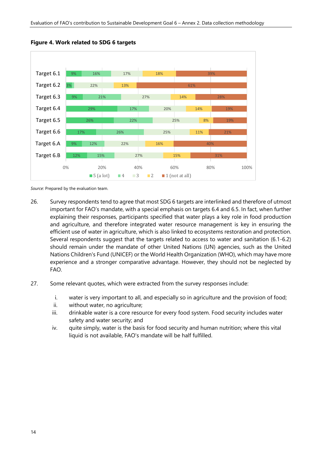

<span id="page-15-0"></span>**Figure 4. Work related to SDG 6 targets**

*Source*: Prepared by the evaluation team.

- 26. Survey respondents tend to agree that most SDG 6 targets are interlinked and therefore of utmost important for FAO's mandate, with a special emphasis on targets 6.4 and 6.5. In fact, when further explaining their responses, participants specified that water plays a key role in food production and agriculture, and therefore integrated water resource management is key in ensuring the efficient use of water in agriculture, which is also linked to ecosystems restoration and protection. Several respondents suggest that the targets related to access to water and sanitation (6.1-6.2) should remain under the mandate of other United Nations (UN) agencies, such as the United Nations Children's Fund (UNICEF) or the World Health Organization (WHO), which may have more experience and a stronger comparative advantage. However, they should not be neglected by FAO.
- 27. Some relevant quotes, which were extracted from the survey responses include:
	- i. water is very important to all, and especially so in agriculture and the provision of food;
	- ii. without water, no agriculture;
	- iii. drinkable water is a core resource for every food system. Food security includes water safety and water security; and
	- iv. quite simply, water is the basis for food security and human nutrition; where this vital liquid is not available, FAO's mandate will be half fulfilled.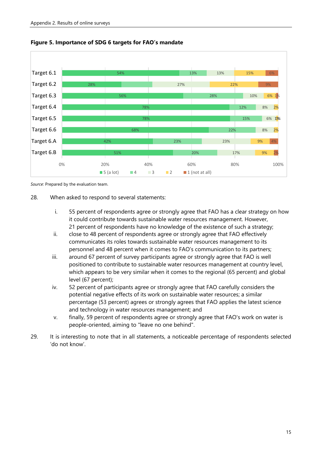

<span id="page-16-0"></span>

*Source*: Prepared by the evaluation team.

#### 28. When asked to respond to several statements:

- i. 55 percent of respondents agree or strongly agree that FAO has a clear strategy on how it could contribute towards sustainable water resources management. However, 21 percent of respondents have no knowledge of the existence of such a strategy;
- ii. close to 48 percent of respondents agree or strongly agree that FAO effectively communicates its roles towards sustainable water resources management to its personnel and 48 percent when it comes to FAO's communication to its partners;
- iii. around 67 percent of survey participants agree or strongly agree that FAO is well positioned to contribute to sustainable water resources management at country level, which appears to be very similar when it comes to the regional (65 percent) and global level (67 percent);
- iv. 52 percent of participants agree or strongly agree that FAO carefully considers the potential negative effects of its work on sustainable water resources; a similar percentage (53 percent) agrees or strongly agrees that FAO applies the latest science and technology in water resources management; and
- v. finally, 59 percent of respondents agree or strongly agree that FAO's work on water is people-oriented, aiming to "leave no one behind".
- 29. It is interesting to note that in all statements, a noticeable percentage of respondents selected 'do not know'.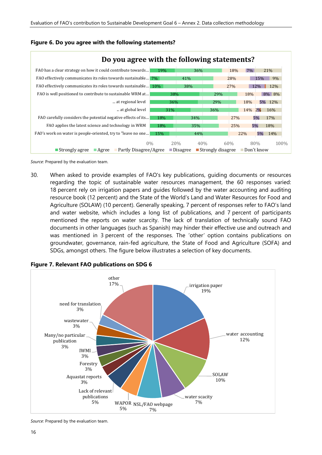

#### <span id="page-17-0"></span>**Figure 6. Do you agree with the following statements?**

*Source*: Prepared by the evaluation team.

30. When asked to provide examples of FAO's key publications, guiding documents or resources regarding the topic of sustainable water resources management, the 60 responses varied: 18 percent rely on irrigation papers and guides followed by the water accounting and auditing resource book (12 percent) and the State of the World's Land and Water Resources for Food and Agriculture (SOLAW) (10 percent). Generally speaking, 7 percent of responses refer to FAO's land and water website, which includes a long list of publications, and 7 percent of participants mentioned the reports on water scarcity. The lack of translation of technically sound FAO documents in other languages (such as Spanish) may hinder their effective use and outreach and was mentioned in 3 percent of the responses. The 'other*'* option contains publications on groundwater, governance, rain-fed agriculture, the State of Food and Agriculture (SOFA) and SDGs, amongst others. The figure below illustrates a selection of key documents.



<span id="page-17-1"></span>**Figure 7. Relevant FAO publications on SDG 6**

*Source*: Prepared by the evaluation team.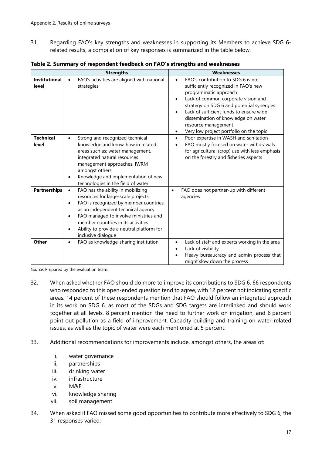31. Regarding FAO's key strengths and weaknesses in supporting its Members to achieve SDG 6 related results, a compilation of key responses is summarized in the table below.

|                               | <b>Strengths</b>                                                                                                                                                                                                                                                                                                                                             | <b>Weaknesses</b>                                                                                                                                                                                                                                                                                                                                                                  |
|-------------------------------|--------------------------------------------------------------------------------------------------------------------------------------------------------------------------------------------------------------------------------------------------------------------------------------------------------------------------------------------------------------|------------------------------------------------------------------------------------------------------------------------------------------------------------------------------------------------------------------------------------------------------------------------------------------------------------------------------------------------------------------------------------|
| <b>Institutional</b><br>level | FAO's activities are aligned with national<br>$\bullet$<br>strategies                                                                                                                                                                                                                                                                                        | FAO's contribution to SDG 6 is not<br>sufficiently recognized in FAO's new<br>programmatic approach<br>Lack of common corporate vision and<br>$\bullet$<br>strategy on SDG 6 and potential synergies<br>Lack of sufficient funds to ensure wide<br>$\bullet$<br>dissemination of knowledge on water<br>resource management<br>Very low project portfolio on the topic<br>$\bullet$ |
| <b>Technical</b><br>level     | Strong and recognized technical<br>$\bullet$<br>knowledge and know-how in related<br>areas such as: water management,<br>integrated natural resources<br>management approaches, IWRM<br>amongst others<br>Knowledge and implementation of new<br>$\bullet$<br>technologies in the field of water                                                             | Poor expertise in WASH and sanitation<br>$\bullet$<br>FAO mostly focused on water withdrawals<br>$\bullet$<br>for agricultural (crop) use with less emphasis<br>on the forestry and fisheries aspects                                                                                                                                                                              |
| <b>Partnerships</b>           | FAO has the ability in mobilizing<br>$\bullet$<br>resources for large-scale projects<br>FAO is recognized by member countries<br>$\bullet$<br>as an independent technical agency<br>FAO managed to involve ministries and<br>$\bullet$<br>member countries in its activities<br>Ability to provide a neutral platform for<br>$\bullet$<br>inclusive dialogue | FAO does not partner-up with different<br>$\bullet$<br>agencies                                                                                                                                                                                                                                                                                                                    |
| Other                         | FAO as knowledge-sharing institution<br>$\bullet$                                                                                                                                                                                                                                                                                                            | Lack of staff and experts working in the area<br>$\bullet$<br>Lack of visibility<br>$\bullet$<br>Heavy bureaucracy and admin process that<br>might slow down the process                                                                                                                                                                                                           |

<span id="page-18-0"></span>**Table 2. Summary of respondent feedback on FAO's strengths and weaknesses**

*Source*: Prepared by the evaluation team.

- 32. When asked whether FAO should do more to improve its contributions to SDG 6, 66 respondents who responded to this open-ended question tend to agree, with 12 percent not indicating specific areas. 14 percent of these respondents mention that FAO should follow an integrated approach in its work on SDG 6, as most of the SDGs and SDG targets are interlinked and should work together at all levels. 8 percent mention the need to further work on irrigation, and 6 percent point out pollution as a field of improvement. Capacity building and training on water-related issues, as well as the topic of water were each mentioned at 5 percent.
- 33. Additional recommendations for improvements include, amongst others, the areas of:
	- i. water governance
	- ii. partnerships
	- iii. drinking water
	- iv. infrastructure
	- v. M&E
	- vi. knowledge sharing
	- vii. soil management
- 34. When asked if FAO missed some good opportunities to contribute more effectively to SDG 6, the 31 responses varied: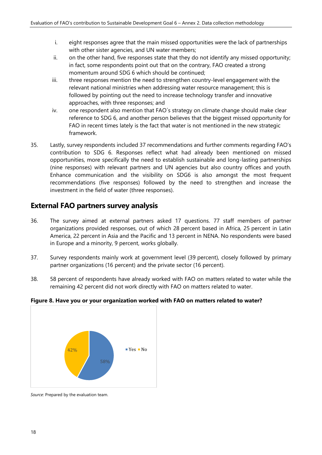- i. eight responses agree that the main missed opportunities were the lack of partnerships with other sister agencies, and UN water members;
- ii. on the other hand, five responses state that they do not identify any missed opportunity; in fact, some respondents point out that on the contrary, FAO created a strong momentum around SDG 6 which should be continued;
- iii. three responses mention the need to strengthen country-level engagement with the relevant national ministries when addressing water resource management; this is followed by pointing out the need to increase technology transfer and innovative approaches, with three responses; and
- iv. one respondent also mention that FAO´s strategy on climate change should make clear reference to SDG 6, and another person believes that the biggest missed opportunity for FAO in recent times lately is the fact that water is not mentioned in the new strategic framework.
- 35. Lastly, survey respondents included 37 recommendations and further comments regarding FAO's contribution to SDG 6. Responses reflect what had already been mentioned on missed opportunities, more specifically the need to establish sustainable and long-lasting partnerships (nine responses) with relevant partners and UN agencies but also country offices and youth. Enhance communication and the visibility on SDG6 is also amongst the most frequent recommendations (five responses) followed by the need to strengthen and increase the investment in the field of water (three responses).

# **External FAO partners survey analysis**

- 36. The survey aimed at external partners asked 17 questions. 77 staff members of partner organizations provided responses, out of which 28 percent based in Africa, 25 percent in Latin America, 22 percent in Asia and the Pacific and 13 percent in NENA. No respondents were based in Europe and a minority, 9 percent, works globally.
- 37. Survey respondents mainly work at government level (39 percent), closely followed by primary partner organizations (16 percent) and the private sector (16 percent).
- 38. 58 percent of respondents have already worked with FAO on matters related to water while the remaining 42 percent did not work directly with FAO on matters related to water.

### <span id="page-19-0"></span>**Figure 8. Have you or your organization worked with FAO on matters related to water?**



*Source*: Prepared by the evaluation team.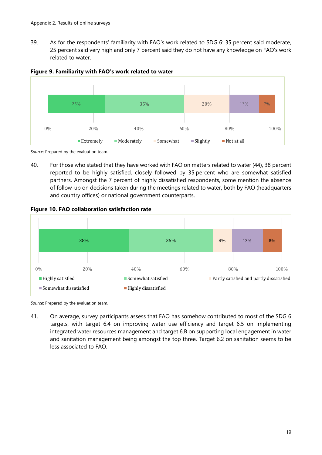39. As for the respondents' familiarity with FAO's work related to SDG 6: 35 percent said moderate, 25 percent said very high and only 7 percent said they do not have any knowledge on FAO's work related to water.



<span id="page-20-0"></span>**Figure 9. Familiarity with FAO's work related to water**

*Source*: Prepared by the evaluation team.

40. For those who stated that they have worked with FAO on matters related to water (44), 38 percent reported to be highly satisfied, closely followed by 35 percent who are somewhat satisfied partners. Amongst the 7 percent of highly dissatisfied respondents, some mention the absence of follow-up on decisions taken during the meetings related to water, both by FAO (headquarters and country offices) or national government counterparts.

<span id="page-20-1"></span>**Figure 10. FAO collaboration satisfaction rate**



*Source*: Prepared by the evaluation team.

41. On average, survey participants assess that FAO has somehow contributed to most of the SDG 6 targets, with target 6.4 on improving water use efficiency and target 6.5 on implementing integrated water resources management and target 6.B on supporting local engagement in water and sanitation management being amongst the top three. Target 6.2 on sanitation seems to be less associated to FAO.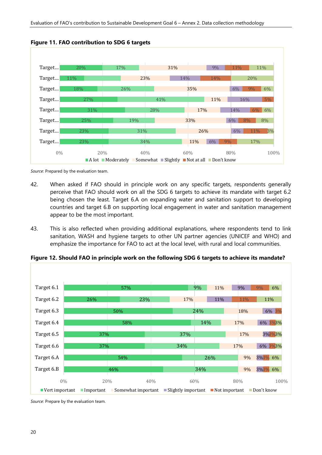

<span id="page-21-0"></span>**Figure 11. FAO contribution to SDG 6 targets**

*Source*: Prepared by the evaluation team.

- 42. When asked if FAO should in principle work on any specific targets, respondents generally perceive that FAO should work on all the SDG 6 targets to achieve its mandate with target 6.2 being chosen the least. Target 6.A on expanding water and sanitation support to developing countries and target 6.B on supporting local engagement in water and sanitation management appear to be the most important.
- 43. This is also reflected when providing additional explanations, where respondents tend to link sanitation, WASH and hygiene targets to other UN partner agencies (UNICEF and WHO) and emphasize the importance for FAO to act at the local level, with rural and local communities.



<span id="page-21-1"></span>**Figure 12. Should FAO in principle work on the following SDG 6 targets to achieve its mandate?**

*Source*: Prepare by the evaluation team.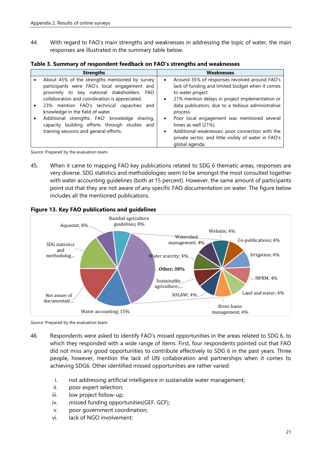44. With regard to FAO's main strengths and weaknesses in addressing the topic of water, the main responses are illustrated in the summary table below.

| <b>Strengths</b>                                                                                                                                                                                                                                                                                                                                                                                                                                | <b>Weaknesses</b>                                                                                                                                                                                                                                                                                                                                                                                                                                                                                  |  |
|-------------------------------------------------------------------------------------------------------------------------------------------------------------------------------------------------------------------------------------------------------------------------------------------------------------------------------------------------------------------------------------------------------------------------------------------------|----------------------------------------------------------------------------------------------------------------------------------------------------------------------------------------------------------------------------------------------------------------------------------------------------------------------------------------------------------------------------------------------------------------------------------------------------------------------------------------------------|--|
| About 45% of the strengths mentioned by survey<br>participants were FAO's local engagement and<br>proximity to key national stakeholders. FAO<br>collaboration and coordination is appreciated.<br>23% mention FAO's technical capacities and<br>٠<br>knowledge in the field of water.<br>Additional strengths: FAO' knowledge sharing,<br>$\bullet$<br>capacity building efforts through studies and<br>training sessions and general efforts. | Around 35% of responses revolved around FAO's<br>$\bullet$<br>lack of funding and limited budget when it comes<br>to water project.<br>21% mention delays in project implementation or<br>$\bullet$<br>data publication, due to a tedious administrative<br>process.<br>Poor local engagement was mentioned several<br>$\bullet$<br>times as well (21%).<br>Additional weaknesses: poor connection with the<br>$\bullet$<br>private sector, and little visibly of water in FAO's<br>global agenda. |  |

<span id="page-22-1"></span>**Table 3. Summary of respondent feedback on FAO's strengths and weaknesses**

*Source*: Prepared by the evaluation team.

45. When it came to mapping FAO key publications related to SDG 6 thematic areas, responses are very diverse. SDG statistics and methodologies seem to be amongst the most consulted together with water accounting guidelines (both at 15 percent). However, the same amount of participants point out that they are not aware of any specific FAO documentation on water. The figure below includes all the mentioned publications.



#### <span id="page-22-0"></span>**Figure 13. Key FAO publications and guidelines**

*Source*: Prepared by the evaluation team.

- 46. Respondents were asked to identify FAO's missed opportunities in the areas related to SDG 6, to which they responded with a wide range of items. First, four respondents pointed out that FAO did not miss any good opportunities to contribute effectively to SDG 6 in the past years. Three people, however, mention the lack of UN collaboration and partnerships when it comes to achieving SDG6. Other identified missed opportunities are rather varied:
	- i. not addressing artificial intelligence in sustainable water management;
	- ii. poor expert selection;
	- iii. low project follow-up;
	- iv. missed funding opportunities(GEF, GCF);
	- v. poor government coordination;
	- vi. lack of NGO involvement;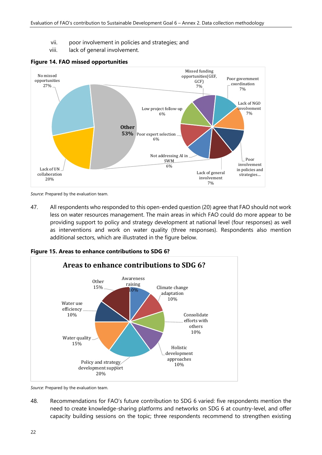- vii. poor involvement in policies and strategies; and
- viii. lack of general involvement.



#### <span id="page-23-0"></span>**Figure 14. FAO missed opportunities**

*Source*: Prepared by the evaluation team.

47. All respondents who responded to this open-ended question (20) agree that FAO should not work less on water resources management. The main areas in which FAO could do more appear to be providing support to policy and strategy development at national level (four responses) as well as interventions and work on water quality (three responses). Respondents also mention additional sectors, which are illustrated in the figure below.

<span id="page-23-1"></span>**Figure 15. Areas to enhance contributions to SDG 6?**



*Source*: Prepared by the evaluation team.

48. Recommendations for FAO's future contribution to SDG 6 varied: five respondents mention the need to create knowledge-sharing platforms and networks on SDG 6 at country-level, and offer capacity building sessions on the topic; three respondents recommend to strengthen existing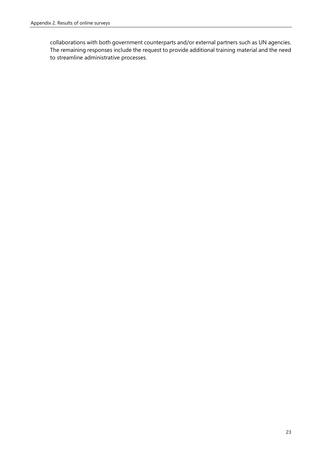collaborations with both government counterparts and/or external partners such as UN agencies. The remaining responses include the request to provide additional training material and the need to streamline administrative processes.